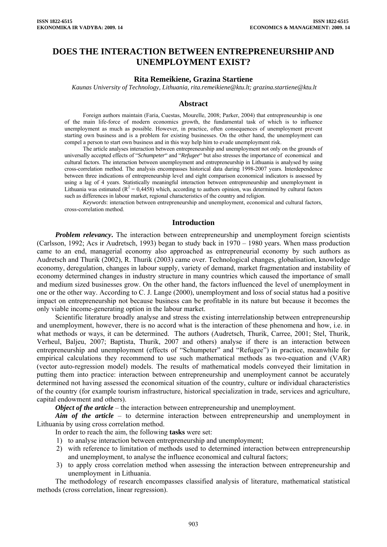# **DOES THE INTERACTION BETWEEN ENTREPRENEURSHIP AND UNEMPLOYMENT EXIST?**

### **Rita Remeikiene, Grazina Startiene**

 *Kaunas University of Technology, Lithuania, [rita.remeikiene@ktu.lt;](mailto:rita.remeikiene@ktu.lt) [grazina.startiene@ktu.lt](mailto:grazina.startiene@ktu.lt)*

#### **Abstract**

Foreign authors maintain (Faria, Cuestas, Mourelle, 2008; Parker, 2004) that entrepreneurship is one of the main life-force of modern economics growth, the fundamental task of which is to influence unemployment as much as possible. However, in practice, often consequences of unemployment prevent starting own business and is a problem for existing businesses. On the other hand, the unemployment can compel a person to start own business and in this way help him to evade unemployment risk.

The article analyses interaction between entrepreneurship and unemployment not only on the grounds of universally accepted effects of "*Schumpeter*" and "*Refugee*" but also stresses the importance of economical and cultural factors. The interaction between unemployment and entrepreneurship in Lithuania is analysed by using cross-correlation method. The analysis encompasses historical data during 1998-2007 years. Interdependence between three indications of entrepreneurship level and eight comparison economical indicators is assessed by using a lag of 4 years. Statistically meaningful interaction between entrepreneurship and unemployment in Lithuania was estimated ( $R^2 = 0.4458$ ) which, according to authors opinion, was determined by cultural factors such as differences in labour market, regional characteristics of the country and religion.

*Keywords*: interaction between entrepreneurship and unemployment, economical and cultural factors, cross-correlation method.

#### **Introduction**

*Problem relevancy*. The interaction between entrepreneurship and unemployment foreign scientists (Carlsson, 1992; Acs ir Audretsch, 1993) began to study back in 1970 – 1980 years. When mass production came to an end, managerial economy also approached as entrepreneurial economy by such authors as Audretsch and Thurik (2002), R. Thurik (2003) came over. Technological changes, globalisation, knowledge economy, deregulation, changes in labour supply, variety of demand, market fragmentation and instability of economy determined changes in industry structure in many countries which caused the importance of small and medium sized businesses grow. On the other hand, the factors influenced the level of unemployment in one or the other way. According to C. J. Lange (2000), unemployment and loss of social status had a positive impact on entrepreneurship not because business can be profitable in its nature but because it becomes the only viable income-generating option in the labour market.

Scientific literature broadly analyse and stress the existing interrelationship between entrepreneurship and unemployment, however, there is no accord what is the interaction of these phenomena and how, i.e. in what methods or ways, it can be determined. The authors (Audretsch, Thurik, Carree, 2001; Stel, Thurik, Verheul, Baljeu, 2007; Baptista, Thurik, 2007 and others) analyse if there is an interaction between entrepreneurship and unemployment (effects of "Schumpeter" and "Refugee") in practice, meanwhile for empirical calculations they recommend to use such mathematical methods as two-equation and (VAR) (vector auto-regression model) models. The results of mathematical models conveyed their limitation in putting them into practice: interaction between entrepreneurship and unemployment cannot be accurately determined not having assessed the economical situation of the country, culture or individual characteristics of the country (for example tourism infrastructure, historical specialization in trade, services and agriculture, capital endowment and others).

*Object of the article* – the interaction between entrepreneurship and unemployment.

*Aim of the article* – to determine interaction between entrepreneurship and unemployment in Lithuania by using cross correlation method.

In order to reach the aim, the following **tasks** were set:

- 1) to analyse interaction between entrepreneurship and unemployment;
- 2) with reference to limitation of methods used to determined interaction between entrepreneurship and unemployment, to analyse the influence economical and cultural factors;
- 3) to apply cross correlation method when assessing the interaction between entrepreneurship and unemployment in Lithuania.

The methodology of research encompasses classified analysis of literature, mathematical statistical methods (cross correlation, linear regression).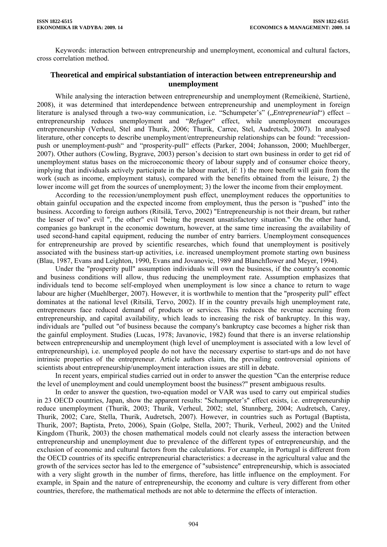Keywords: interaction between entrepreneurship and unemployment, economical and cultural factors, cross correlation method.

## **Theoretical and empirical substantiation of interaction between entrepreneurship and unemployment**

While analysing the interaction between entrepreneurship and unemployment (Remeikienė, Startienė, 2008), it was determined that interdependence between entrepreneurship and unemployment in foreign literature is analysed through a two-way communication, i.e. "Schumpeter's" ("*Entrepreneurial*") effect – entrepreneurship reduces unemployment and "*Refugee*" effect, while unemployment encourages entrepreneurship (Verheul, Stel and Thurik, 2006; Thurik, Carree, Stel, Audretsch, 2007). In analysed literature, other concepts to describe unemployment/entrepreneurship relationships can be found: "recessionpush or unemployment-push" and "prosperity-pull" effects (Parker, 2004; Johansson, 2000; Muehlberger, 2007). Other authors (Cowling, Bygrave, 2003) person's decision to start own business in order to get rid of unemployment status bases on the microeconomic theory of labour supply and of consumer choice theory, implying that individuals actively participate in the labour market, if: 1) the more benefit will gain from the work (such as income, employment status), compared with the benefits obtained from the leisure, 2) the lower income will get from the sources of unemployment; 3) the lower the income from their employment.

According to the recession/unemployment push effect, unemployment reduces the opportunities to obtain gainful occupation and the expected income from employment, thus the person is "pushed" into the business. According to foreign authors (Ritsilä, Tervo, 2002) "Entrepreneurship is not their dream, but rather the lesser of two" evil ", the other" evil "being the present unsatisfactory situation." On the other hand, companies go bankrupt in the economic downturn, however, at the same time increasing the availability of used second-hand capital equipment, reducing the number of entry barriers. Unemployment consequences for entrepreneurship are proved by scientific researches, which found that unemployment is positively associated with the business start-up activities, i.e. increased unemployment promote starting own business (Blau, 1987, Evans and Leighton, 1990, Evans and Jovanovic, 1989 and Blanchflower and Meyer, 1994).

Under the "prosperity pull" assumption individuals will own the business, if the country's economic and business conditions will allow, thus reducing the unemployment rate. Assumption emphasizes that individuals tend to become self-employed when unemployment is low since a chance to return to wage labour are higher (Muehlberger, 2007). However, it is worthwhile to mention that the "prosperity pull" effect dominates at the national level (Ritsilä, Tervo, 2002). If in the country prevails high unemployment rate, entrepreneurs face reduced demand of products or services. This reduces the revenue accruing from entrepreneurship, and capital availability, which leads to increasing the risk of bankruptcy. In this way, individuals are "pulled out "of business because the company's bankruptcy case becomes a higher risk than the gainful employment. Studies (Lucas, 1978; Javanovic, 1982) found that there is an inverse relationship between entrepreneurship and unemployment (high level of unemployment is associated with a low level of entrepreneurship), i.e. unemployed people do not have the necessary expertise to start-ups and do not have intrinsic properties of the entrepreneur. Article authors claim, the prevailing controversial opinions of scientists about entrepreneurship/unemployment interaction issues are still in debate.

In recent years, empirical studies carried out in order to answer the question "Can the enterprise reduce the level of unemployment and could unemployment boost the business?" present ambiguous results.

In order to answer the question, two-equation model or VAR was used to carry out empirical studies in 23 OECD countries, Japan, show the apparent results: "Schumpeter's" effect exists, i.e. entrepreneurship reduce unemployment (Thurik, 2003; Thurik, Verheul, 2002; stel, Stunnberg, 2004; Audretsch, Carey, Thurik, 2002; Care, Stella, Thurik, Audretsch, 2007). However, in countries such as Portugal (Baptista, Thurik, 2007; Baptista, Preto, 2006), Spain (Golpe, Stella, 2007; Thurik, Verheul, 2002) and the United Kingdom (Thurik, 2003) the chosen mathematical models could not clearly assess the interaction between entrepreneurship and unemployment due to prevalence of the different types of entrepreneurship, and the exclusion of economic and cultural factors from the calculations. For example, in Portugal is different from the OECD countries of its specific entrepreneurial characteristics: a decrease in the agricultural value and the growth of the services sector has led to the emergence of "subsistence" entrepreneurship, which is associated with a very slight growth in the number of firms, therefore, has little influence on the employment. For example, in Spain and the nature of entrepreneurship, the economy and culture is very different from other countries, therefore, the mathematical methods are not able to determine the effects of interaction.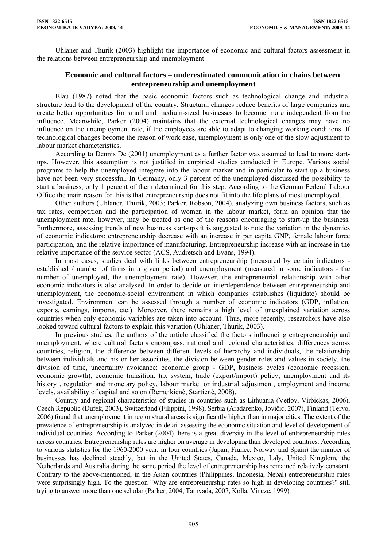Uhlaner and Thurik (2003) highlight the importance of economic and cultural factors assessment in the relations between entrepreneurship and unemployment.

## **Economic and cultural factors – underestimated communication in chains between entrepreneurship and unemployment**

Blau (1987) noted that the basic economic factors such as technological change and industrial structure lead to the development of the country. Structural changes reduce benefits of large companies and create better opportunities for small and medium-sized businesses to become more independent from the influence. Meanwhile, Parker (2004) maintains that the external technological changes may have no influence on the unemployment rate, if the employees are able to adapt to changing working conditions. If technological changes become the reason of work ease, unemployment is only one of the slow adjustment to labour market characteristics.

According to Dennis De (2001) unemployment as a further factor was assumed to lead to more startups. However, this assumption is not justified in empirical studies conducted in Europe. Various social programs to help the unemployed integrate into the labour market and in particular to start up a business have not been very successful. In Germany, only 3 percent of the unemployed discussed the possibility to start a business, only 1 percent of them determined for this step. According to the German Federal Labour Office the main reason for this is that entrepreneurship does not fit into the life plans of most unemployed.

Other authors (Uhlaner, Thurik, 2003; Parker, Robson, 2004), analyzing own business factors, such as tax rates, competition and the participation of women in the labour market, form an opinion that the unemployment rate, however, may be treated as one of the reasons encouraging to start-up the business. Furthermore, assessing trends of new business start-ups it is suggested to note the variation in the dynamics of economic indicators: entrepreneurship decrease with an increase in per capita GNP, female labour force participation, and the relative importance of manufacturing. Entrepreneurship increase with an increase in the relative importance of the service sector (ACS, Audretsch and Evans, 1994).

In most cases, studies deal with links between entrepreneurship (measured by certain indicators established / number of firms in a given period) and unemployment (measured in some indicators - the number of unemployed, the unemployment rate). However, the entrepreneurial relationship with other economic indicators is also analysed. In order to decide on interdependence between entrepreneurship and unemployment, the economic-social environment in which companies establishes (liquidate) should be investigated. Environment can be assessed through a number of economic indicators (GDP, inflation, exports, earnings, imports, etc.). Moreover, there remains a high level of unexplained variation across countries when only economic variables are taken into account. Thus, more recently, researchers have also looked toward cultural factors to explain this variation (Uhlaner, Thurik, 2003).

In previous studies, the authors of the article classified the factors influencing entrepreneurship and unemployment, where cultural factors encompass: national and regional characteristics, differences across countries, religion, the difference between different levels of hierarchy and individuals, the relationship between individuals and his or her associates, the division between gender roles and values in society, the division of time, uncertainty avoidance; economic group - GDP, business cycles (economic recession, economic growth), economic transition, tax system, trade (export/import) policy, unemployment and its history , regulation and monetary policy, labour market or industrial adjustment, employment and income levels, availability of capital and so on (Remeikienė, Startienė, 2008).

Country and regional characteristics of studies in countries such as Lithuania (Vetlov, Virbickas, 2006), Czech Republic (Dufek, 2003), Switzerland (Filippini, 1998), Serbia (Aradarenko, Jovičic, 2007), Finland (Tervo, 2006) found that unemployment in regions/rural areas is significantly higher than in major cities. The extent of the prevalence of entrepreneurship is analyzed in detail assessing the economic situation and level of development of individual countries. According to Parker (2004) there is a great diversity in the level of entrepreneurship rates across countries. Entrepreneurship rates are higher on average in developing than developed countries. According to various statistics for the 1960-2000 year, in four countries (Japan, France, Norway and Spain) the number of businesses has declined steadily, but in the United States, Canada, Mexico, Italy, United Kingdom, the Netherlands and Australia during the same period the level of entrepreneurship has remained relatively constant. Contrary to the above-mentioned, in the Asian countries (Philippines, Indonesia, Nepal) entrepreneurship rates were surprisingly high. To the question "Why are entrepreneurship rates so high in developing countries?" still trying to answer more than one scholar (Parker, 2004; Tamvada, 2007, Kolla, Vincze, 1999).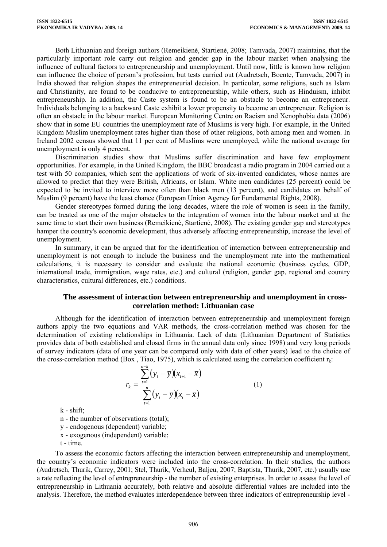Both Lithuanian and foreign authors (Remeikienė, Startienė, 2008; Tamvada, 2007) maintains, that the particularly important role carry out religion and gender gap in the labour market when analysing the influence of cultural factors to entrepreneurship and unemployment. Until now, little is known how religion can influence the choice of person's profession, but tests carried out (Audretsch, Boente, Tamvada, 2007) in India showed that religion shapes the entrepreneurial decision. In particular, some religions, such as Islam and Christianity, are found to be conducive to entrepreneurship, while others, such as Hinduism, inhibit entrepreneurship. In addition, the Caste system is found to be an obstacle to become an entrepreneur. Individuals belonging to a backward Caste exhibit a lower propensity to become an entrepreneur. Religion is often an obstacle in the labour market. European Monitoring Centre on Racism and Xenophobia data (2006) show that in some EU countries the unemployment rate of Muslims is very high. For example, in the United Kingdom Muslim unemployment rates higher than those of other religions, both among men and women. In Ireland 2002 census showed that 11 per cent of Muslims were unemployed, while the national average for unemployment is only 4 percent.

Discrimination studies show that Muslims suffer discrimination and have few employment opportunities. For example, in the United Kingdom, the BBC broadcast a radio program in 2004 carried out a test with 50 companies, which sent the applications of work of six-invented candidates, whose names are allowed to predict that they were British, Africans, or Islam. White men candidates (25 percent) could be expected to be invited to interview more often than black men (13 percent), and candidates on behalf of Muslim (9 percent) have the least chance (European Union Agency for Fundamental Rights, 2008).

Gender stereotypes formed during the long decades, where the role of women is seen in the family, can be treated as one of the major obstacles to the integration of women into the labour market and at the same time to start their own business (Remeikienė, Startienė, 2008). The existing gender gap and stereotypes hamper the country's economic development, thus adversely affecting entrepreneurship, increase the level of unemployment.

In summary, it can be argued that for the identification of interaction between entrepreneurship and unemployment is not enough to include the business and the unemployment rate into the mathematical calculations, it is necessary to consider and evaluate the national economic (business cycles, GDP, international trade, immigration, wage rates, etc.) and cultural (religion, gender gap, regional and country characteristics, cultural differences, etc.) conditions.

### **The assessment of interaction between entrepreneurship and unemployment in crosscorrelation method: Lithuanian case**

Although for the identification of interaction between entrepreneurship and unemployment foreign authors apply the two equations and VAR methods, the cross-correlation method was chosen for the determination of existing relationships in Lithuania. Lack of data (Lithuanian Department of Statistics provides data of both established and closed firms in the annual data only since 1998) and very long periods of survey indicators (data of one year can be compared only with data of other years) lead to the choice of the cross-correlation method (Box , Tiao, 1975), which is calculated using the correlation coefficient  $r_k$ :

$$
r_{k} = \frac{\sum_{t=1}^{n-k} (y_{t} - \overline{y})(x_{t+1} - \overline{x})}{\sum_{t=1}^{n} (y_{t} - \overline{y})(x_{t} - \overline{x})}
$$
(1)

 $k - shift$ ;

n - the number of observations (total);

y - endogenous (dependent) variable;

x - exogenous (independent) variable;

t - time.

To assess the economic factors affecting the interaction between entrepreneurship and unemployment, the country's economic indicators were included into the cross-correlation. In their studies, the authors (Audretsch, Thurik, Carrey, 2001; Stel, Thurik, Verheul, Baljeu, 2007; Baptista, Thurik, 2007, etc.) usually use a rate reflecting the level of entrepreneurship - the number of existing enterprises. In order to assess the level of entrepreneurship in Lithuania accurately, both relative and absolute differential values are included into the analysis. Therefore, the method evaluates interdependence between three indicators of entrepreneurship level -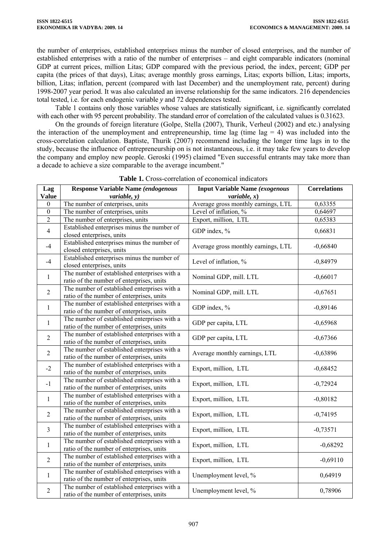the number of enterprises, established enterprises minus the number of closed enterprises, and the number of established enterprises with a ratio of the number of enterprises – and eight comparable indicators (nominal GDP at current prices, million Litas; GDP compared with the previous period, the index, percent; GDP per capita (the prices of that days), Litas; average monthly gross earnings, Litas; exports billion, Litas; imports, billion, Litas; inflation, percent (compared with last December) and the unemployment rate, percent) during 1998-2007 year period. It was also calculated an inverse relationship for the same indicators. 216 dependencies total tested, i.e. for each endogenic variable *y* and 72 dependences tested.

Table 1 contains only those variables whose values are statistically significant, i.e. significantly correlated with each other with 95 percent probability. The standard error of correlation of the calculated values is 0.31623.

On the grounds of foreign literature (Golpe, Stella (2007), Thurik, Verheul (2002) and etc.) analysing the interaction of the unemployment and entrepreneurship, time lag (time lag  $= 4$ ) was included into the cross-correlation calculation. Baptiste, Thurik (2007) recommend including the longer time lags in to the study, because the influence of entrepreneurship on is not instantaneous, i.e. it may take few years to develop the company and employ new people. Geroski (1995) claimed "Even successful entrants may take more than a decade to achieve a size comparable to the average incumbent."

| Lag              | Response Variable Name (endogenous                                                        | <b>Input Variable Name (exogenous</b> | <b>Correlations</b> |
|------------------|-------------------------------------------------------------------------------------------|---------------------------------------|---------------------|
| <b>Value</b>     | variable, y)                                                                              | variable, x)                          |                     |
| $\boldsymbol{0}$ | The number of enterprises, units                                                          | Average gross monthly earnings, LTL   | 0,63355             |
| $\boldsymbol{0}$ | The number of enterprises, units                                                          | Level of inflation, %                 | 0,64697             |
| 2                | The number of enterprises, units                                                          | Export, million, LTL                  | 0,65383             |
| $\overline{4}$   | Established enterprises minus the number of<br>closed enterprises, units                  | GDP index, %                          | 0,66831             |
| $-4$             | Established enterprises minus the number of<br>closed enterprises, units                  | Average gross monthly earnings, LTL   | $-0,66840$          |
| $-4$             | Established enterprises minus the number of<br>closed enterprises, units                  | Level of inflation, %                 | $-0,84979$          |
| 1                | The number of established enterprises with a<br>ratio of the number of enterprises, units | Nominal GDP, mill. LTL                | $-0,66017$          |
| $\overline{2}$   | The number of established enterprises with a<br>ratio of the number of enterprises, units | Nominal GDP, mill. LTL                | $-0,67651$          |
| 1                | The number of established enterprises with a<br>ratio of the number of enterprises, units | GDP index, %                          | $-0,89146$          |
| $\mathbf{1}$     | The number of established enterprises with a<br>ratio of the number of enterprises, units | GDP per capita, LTL                   | $-0,65968$          |
| $\overline{2}$   | The number of established enterprises with a<br>ratio of the number of enterprises, units | GDP per capita, LTL                   | $-0,67366$          |
| $\overline{2}$   | The number of established enterprises with a<br>ratio of the number of enterprises, units | Average monthly earnings, LTL         | $-0,63896$          |
| $-2$             | The number of established enterprises with a<br>ratio of the number of enterprises, units | Export, million, LTL                  | $-0,68452$          |
| $-1$             | The number of established enterprises with a<br>ratio of the number of enterprises, units | Export, million, LTL                  | $-0,72924$          |
| 1                | The number of established enterprises with a<br>ratio of the number of enterprises, units | Export, million, LTL                  | $-0,80182$          |
| $\overline{2}$   | The number of established enterprises with a<br>ratio of the number of enterprises, units | Export, million, LTL                  | $-0,74195$          |
| 3                | The number of established enterprises with a<br>ratio of the number of enterprises, units | Export, million, LTL                  | $-0,73571$          |
| 1                | The number of established enterprises with a<br>ratio of the number of enterprises, units | Export, million, LTL                  | $-0,68292$          |
| $\overline{2}$   | The number of established enterprises with a<br>ratio of the number of enterprises, units | Export, million, LTL                  | $-0,69110$          |
| 1                | The number of established enterprises with a<br>ratio of the number of enterprises, units | Unemployment level, %                 | 0,64919             |
| $\overline{2}$   | The number of established enterprises with a<br>ratio of the number of enterprises, units | Unemployment level, %                 | 0,78906             |

**Table 1.** Cross-correlation of economical indicators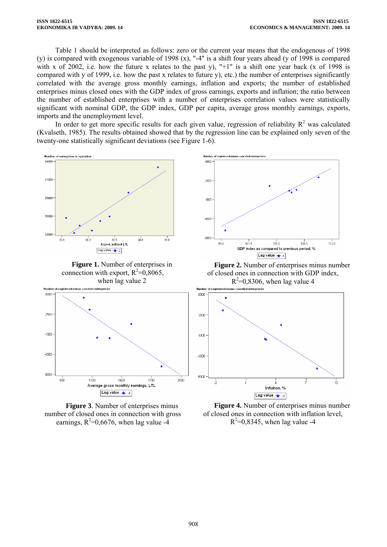Table 1 should be interpreted as follows: zero or the current year means that the endogenous of 1998 (y) is compared with exogenous variable of 1998 (x), "-4" is a shift four years ahead (y of 1998 is compared with x of 2002, i.e. how the future x relates to the past y), " $+1$ " is a shift one year back (x of 1998 is compared with y of 1999, i.e. how the past x relates to future y), etc.) the number of enterprises significantly correlated with the average gross monthly earnings, inflation and exports; the number of established enterprises minus closed ones with the GDP index of gross earnings, exports and inflation; the ratio between the number of established enterprises with a number of enterprises correlation values were statistically significant with nominal GDP, the GDP index, GDP per capita, average gross monthly earnings, exports, imports and the unemployment level.

In order to get more specific results for each given value, regression of reliability  $R^2$  was calculated (Kvalseth, 1985). The results obtained showed that by the regression line can be explained only seven of the twenty-one statistically significant deviations (see Figure 1-6).



**Figure 1.** Number of enterprises in connection with export,  $R^2 = 0.8065$ , when lag value 2







**Figure 2.** Number of enterprises minus number of closed ones in connection with GDP index,  $R^2$ =0,8306, when lag value 4



**Figure 4.** Number of enterprises minus number of closed ones in connection with inflation level,  $R^2=0.8345$ , when lag value -4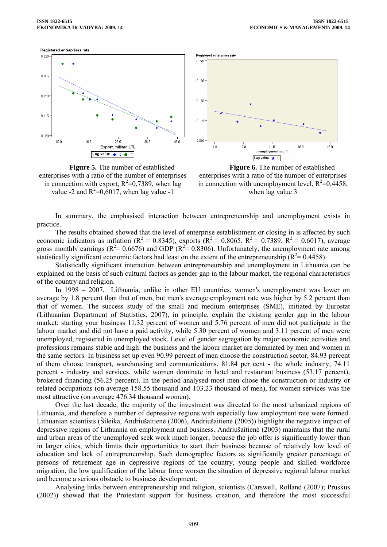







**Figure 6.** The number of established enterprises with a ratio of the number of enterprises in connection with unemployment level,  $R^2=0,4458$ , when lag value 3

In summary, the emphasised interaction between entrepreneurship and unemployment exists in practice.

The results obtained showed that the level of enterprise establishment or closing in is affected by such economic indicators as inflation ( $R^2 = 0.8345$ ), exports ( $R^2 = 0.8065$ ,  $R^2 = 0.7389$ ,  $R^2 = 0.6017$ ), average gross monthly earnings ( $R^2$  = 0.6676) and GDP ( $R^2$  = 0.8306). Unfortunately, the unemployment rate among statistically significant economic factors had least on the extent of the entrepreneurship  $(R^2 = 0.4458)$ .

Statistically significant interaction between entrepreneurship and unemployment in Lithuania can be explained on the basis of such cultural factors as gender gap in the labour market, the regional characteristics of the country and religion.

In 1998 – 2007, Lithuania, unlike in other EU countries, women's unemployment was lower on average by 1.8 percent than that of men, but men's average employment rate was higher by 5.2 percent than that of women. The success study of the small and medium enterprises (SME), initiated by Eurostat (Lithuanian Department of Statistics, 2007), in principle, explain the existing gender gap in the labour market: starting your business 11.32 percent of women and 5.76 percent of men did not participate in the labour market and did not have a paid activity, while 5.30 percent of women and 3.11 percent of men were unemployed, registered in unemployed stock. Level of gender segregation by major economic activities and professions remains stable and high: the business and the labour market are dominated by men and women in the same sectors. In business set up even 90.99 percent of men choose the construction sector, 84.93 percent of them choose transport, warehousing and communications, 81.84 per cent - the whole industry, 74.11 percent - industry and services, while women dominate in hotel and restaurant business (53.17 percent), brokered financing (56.25 percent). In the period analysed most men chose the construction or industry or related occupations (on average 158.55 thousand and 103.23 thousand of men), for women services was the most attractive (on average 476.34 thousand women).

Over the last decade, the majority of the investment was directed to the most urbanized regions of Lithuania, and therefore a number of depressive regions with especially low employment rate were formed. Lithuanian scientists (Šileika, Andriušaitienė (2006), Andriušaitienė (2005)) highlight the negative impact of depressive regions of Lithuania on employment and business. Andriušaitienė (2003) maintains that the rural and urban areas of the unemployed seek work much longer, because the job offer is significantly lower than in larger cities, which limits their opportunities to start their business because of relatively low level of education and lack of entrepreneurship. Such demographic factors as significantly greater percentage of persons of retirement age in depressive regions of the country, young people and skilled workforce migration, the low qualification of the labour force worsen the situation of depressive regional labour market and become a serious obstacle to business development.

Analysing links between entrepreneurship and religion, scientists (Carswell, Rolland (2007); Pruskus (2002)) showed that the Protestant support for business creation, and therefore the most successful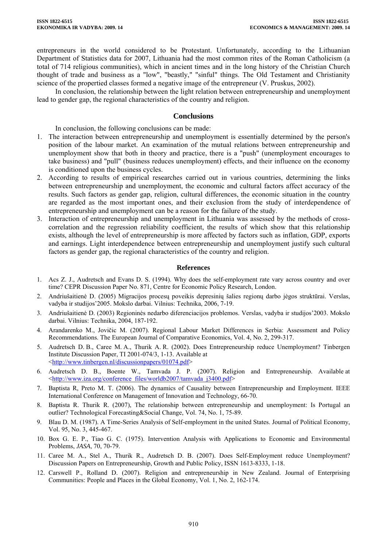entrepreneurs in the world considered to be Protestant. Unfortunately, according to the Lithuanian Department of Statistics data for 2007, Lithuania had the most common rites of the Roman Catholicism (a total of 714 religious communities), which in ancient times and in the long history of the Christian Church thought of trade and business as a "low", "beastly," "sinful" things. The Old Testament and Christianity science of the propertied classes formed a negative image of the entrepreneur (V. Pruskus, 2002).

In conclusion, the relationship between the light relation between entrepreneurship and unemployment lead to gender gap, the regional characteristics of the country and religion.

## **Conclusions**

In conclusion, the following conclusions can be made:

- 1. The interaction between entrepreneurship and unemployment is essentially determined by the person's position of the labour market. An examination of the mutual relations between entrepreneurship and unemployment show that both in theory and practice, there is a "push" (unemployment encourages to take business) and "pull" (business reduces unemployment) effects, and their influence on the economy is conditioned upon the business cycles.
- 2. According to results of empirical researches carried out in various countries, determining the links between entrepreneurship and unemployment, the economic and cultural factors affect accuracy of the results. Such factors as gender gap, religion, cultural differences, the economic situation in the country are regarded as the most important ones, and their exclusion from the study of interdependence of entrepreneurship and unemployment can be a reason for the failure of the study.
- 3. Interaction of entrepreneurship and unemployment in Lithuania was assessed by the methods of crosscorrelation and the regression reliability coefficient, the results of which show that this relationship exists, although the level of entrepreneurship is more affected by factors such as inflation, GDP, exports and earnings. Light interdependence between entrepreneurship and unemployment justify such cultural factors as gender gap, the regional characteristics of the country and religion.

### **References**

- 1. Acs Z. J., Audretsch and Evans D. S. (1994). Why does the self-employment rate vary across country and over time? CEPR Discussion Paper No. 871, Centre for Economic Policy Research, London.
- 2. Andriušaitienė D. (2005) Migracijos procesų poveikis depresinių šalies regionų darbo jėgos struktūrai. Verslas, vadyba ir studijos'2005. Mokslo darbai. Vilnius: Technika, 2006, 7-19.
- 3. Andriušaitienė D. (2003) Regioninės nedarbo diferenciacijos problemos. Verslas, vadyba ir studijos'2003. Mokslo darbai. Vilnius: Technika, 2004, 187-192.
- 4. Arandarenko M., Jovičic M. (2007). Regional Labour Market Differences in Serbia: Assessment and Policy Recommendations. The European Journal of Comparative Economics, Vol. 4, No. 2, 299-317.
- 5. Audretsch D. B., Caree M. A., Thurik A. R. (2002). Does Entrepreneurship reduce Unemployment? Tinbergen Institute Discussion Paper, TI 2001-074/3, 1-13. Available at [<http://www.tinbergen.nl/discussionpapers/01074.pdf>](http://www.tinbergen.nl/discussionpapers/01074.pdf)
- 6. Audretsch D. B., Boente W., Tamvada J. P. (2007). Religion and Entrepreneurship. Available at [<http://www.iza.org/conference\\_files/worldb2007/tamvada\\_j3400.pdf](http://www.iza.org/conference_files/worldb2007/tamvada_j3400.pdf)>
- 7. Baptista R, Preto M. T. (2006). The dynamics of Causality between Entrepreneurship and Employment. IEEE International Conference on Management of Innovation and Technology, 66-70.
- 8. Baptista R. Thurik R. (2007), The relationship between entrepreneurship and unemployment: Is Portugal an outlier? Technological Forecasting&Social Change, Vol. 74, No. 1, 75-89.
- 9. Blau D. M. (1987). A Time-Series Analysis of Self-employment in the united States. Journal of Political Economy, Vol. 95, No. 3, 445-467.
- 10. Box G. E. P., Tiao G. C. (1975). Intervention Analysis with Applications to Economic and Environmental Problems, *JASA*, 70, 70-79.
- 11. Caree M. A., Stel A., Thurik R., Audretsch D. B. (2007). Does Self-Employment reduce Unemployment? Discussion Papers on Entrepreneurship, Growth and Public Policy, ISSN 1613-8333, 1-18.
- 12. Carswell P., Rolland D. (2007). Religion and entrepreneurship in New Zealand. Journal of Enterprising Communities: People and Places in the Global Economy, Vol. 1, No. 2, 162-174.